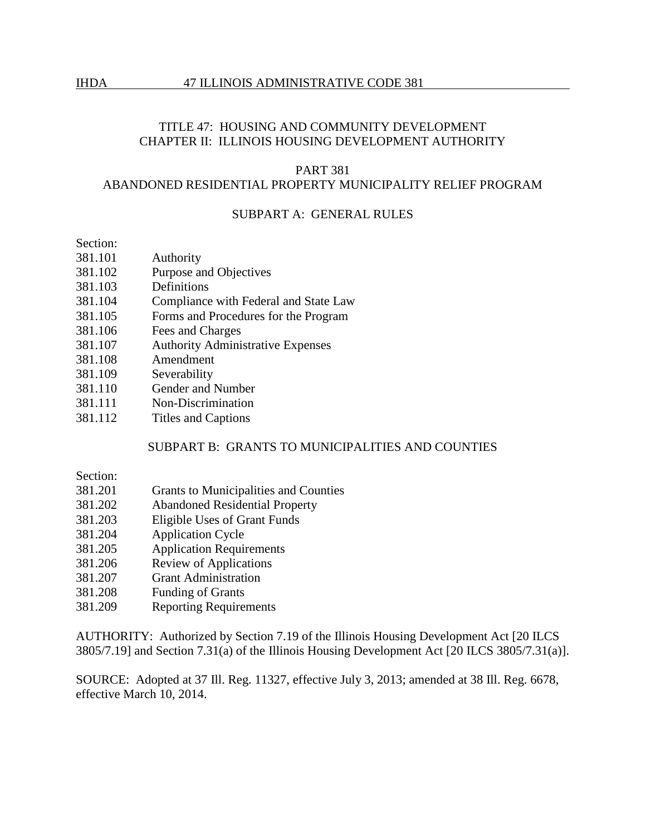### TITLE 47: HOUSING AND COMMUNITY DEVELOPMENT CHAPTER II: ILLINOIS HOUSING DEVELOPMENT AUTHORITY

#### PART 381

#### ABANDONED RESIDENTIAL PROPERTY MUNICIPALITY RELIEF PROGRAM

#### SUBPART A: GENERAL RULES

| occuon.  |   |
|----------|---|
| 201, 101 | A |

Section:

- 381.101 Authority
- 381.102 Purpose and Objectives
- 381.103 Definitions
- 381.104 Compliance with Federal and State Law
- 381.105 Forms and Procedures for the Program
- 381.106 Fees and Charges
- 381.107 Authority Administrative Expenses
- 381.108 Amendment
- 381.109 Severability
- 381.110 Gender and Number
- 381.111 Non-Discrimination
- 381.112 Titles and Captions

### SUBPART B: GRANTS TO MUNICIPALITIES AND COUNTIES

### Section:

- 381.201 Grants to Municipalities and Counties
- 381.202 Abandoned Residential Property
- 381.203 Eligible Uses of Grant Funds
- 381.204 Application Cycle
- 381.205 Application Requirements
- 381.206 Review of Applications
- 381.207 Grant Administration
- 381.208 Funding of Grants
- 381.209 Reporting Requirements

AUTHORITY: Authorized by Section 7.19 of the Illinois Housing Development Act [20 ILCS 3805/7.19] and Section 7.31(a) of the Illinois Housing Development Act [20 ILCS 3805/7.31(a)].

SOURCE: Adopted at 37 Ill. Reg. 11327, effective July 3, 2013; amended at 38 Ill. Reg. 6678, effective March 10, 2014.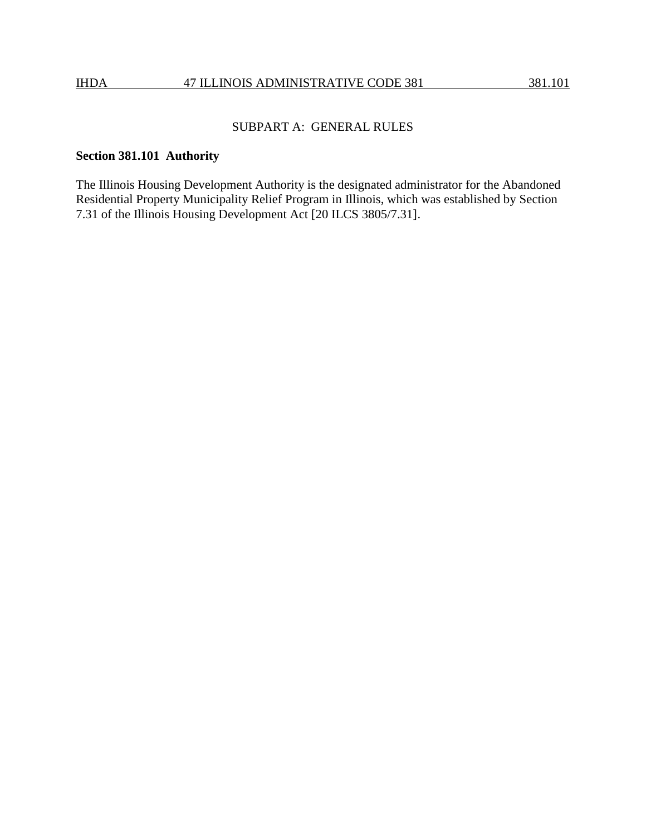### SUBPART A: GENERAL RULES

### **Section 381.101 Authority**

The Illinois Housing Development Authority is the designated administrator for the Abandoned Residential Property Municipality Relief Program in Illinois, which was established by Section 7.31 of the Illinois Housing Development Act [20 ILCS 3805/7.31].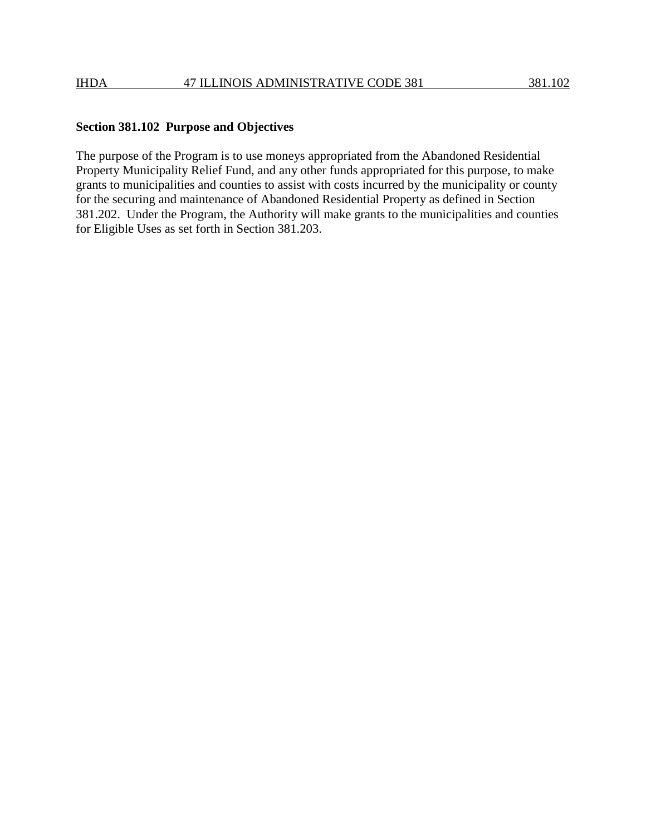# **Section 381.102 Purpose and Objectives**

The purpose of the Program is to use moneys appropriated from the Abandoned Residential Property Municipality Relief Fund, and any other funds appropriated for this purpose, to make grants to municipalities and counties to assist with costs incurred by the municipality or county for the securing and maintenance of Abandoned Residential Property as defined in Section 381.202. Under the Program, the Authority will make grants to the municipalities and counties for Eligible Uses as set forth in Section 381.203.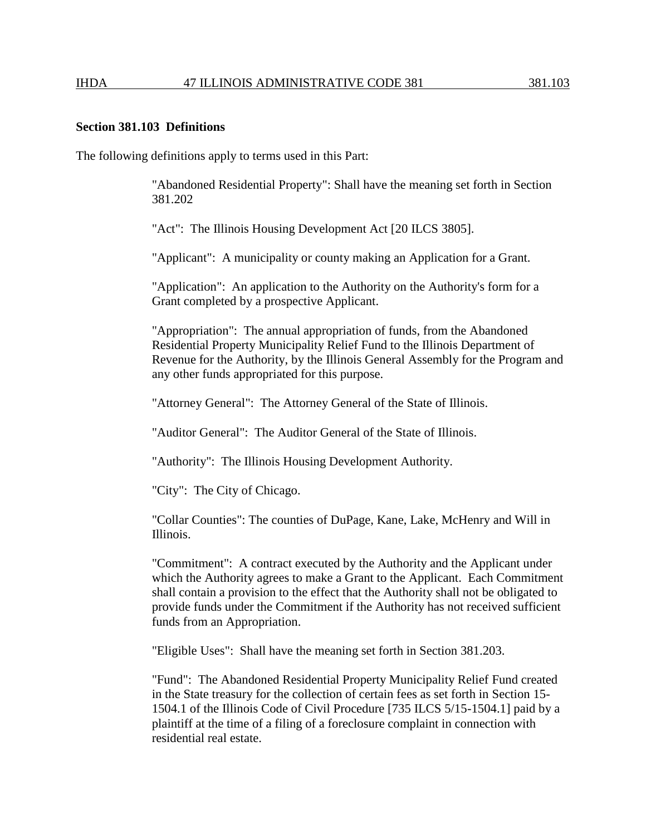#### **Section 381.103 Definitions**

The following definitions apply to terms used in this Part:

"Abandoned Residential Property": Shall have the meaning set forth in Section 381.202

"Act": The Illinois Housing Development Act [20 ILCS 3805].

"Applicant": A municipality or county making an Application for a Grant.

"Application": An application to the Authority on the Authority's form for a Grant completed by a prospective Applicant.

"Appropriation": The annual appropriation of funds, from the Abandoned Residential Property Municipality Relief Fund to the Illinois Department of Revenue for the Authority, by the Illinois General Assembly for the Program and any other funds appropriated for this purpose.

"Attorney General": The Attorney General of the State of Illinois.

"Auditor General": The Auditor General of the State of Illinois.

"Authority": The Illinois Housing Development Authority.

"City": The City of Chicago.

"Collar Counties": The counties of DuPage, Kane, Lake, McHenry and Will in Illinois.

"Commitment": A contract executed by the Authority and the Applicant under which the Authority agrees to make a Grant to the Applicant. Each Commitment shall contain a provision to the effect that the Authority shall not be obligated to provide funds under the Commitment if the Authority has not received sufficient funds from an Appropriation.

"Eligible Uses": Shall have the meaning set forth in Section 381.203.

"Fund": The Abandoned Residential Property Municipality Relief Fund created in the State treasury for the collection of certain fees as set forth in Section 15- 1504.1 of the Illinois Code of Civil Procedure [735 ILCS 5/15-1504.1] paid by a plaintiff at the time of a filing of a foreclosure complaint in connection with residential real estate.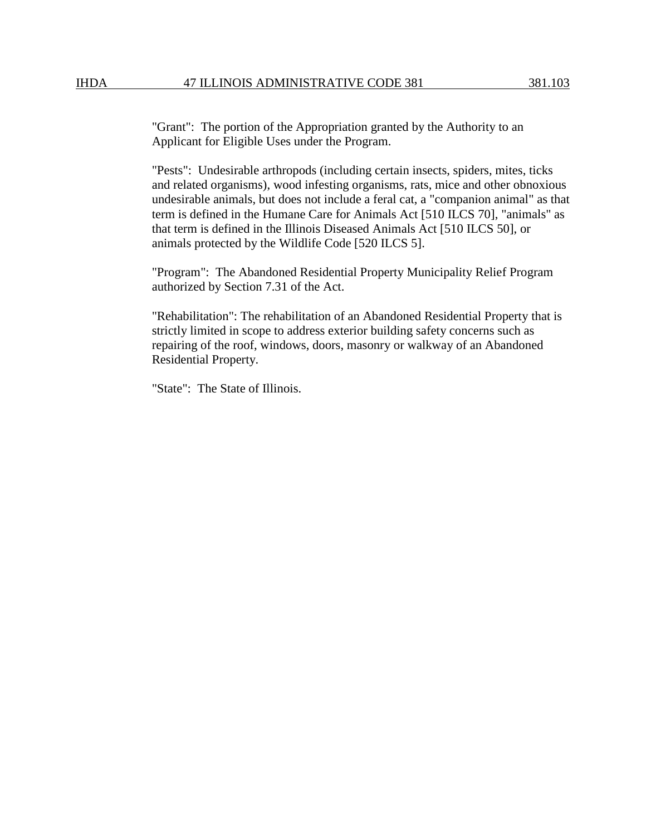"Grant": The portion of the Appropriation granted by the Authority to an Applicant for Eligible Uses under the Program.

"Pests": Undesirable arthropods (including certain insects, spiders, mites, ticks and related organisms), wood infesting organisms, rats, mice and other obnoxious undesirable animals, but does not include a feral cat, a "companion animal" as that term is defined in the Humane Care for Animals Act [510 ILCS 70], "animals" as that term is defined in the Illinois Diseased Animals Act [510 ILCS 50], or animals protected by the Wildlife Code [520 ILCS 5].

"Program": The Abandoned Residential Property Municipality Relief Program authorized by Section 7.31 of the Act.

"Rehabilitation": The rehabilitation of an Abandoned Residential Property that is strictly limited in scope to address exterior building safety concerns such as repairing of the roof, windows, doors, masonry or walkway of an Abandoned Residential Property.

"State": The State of Illinois.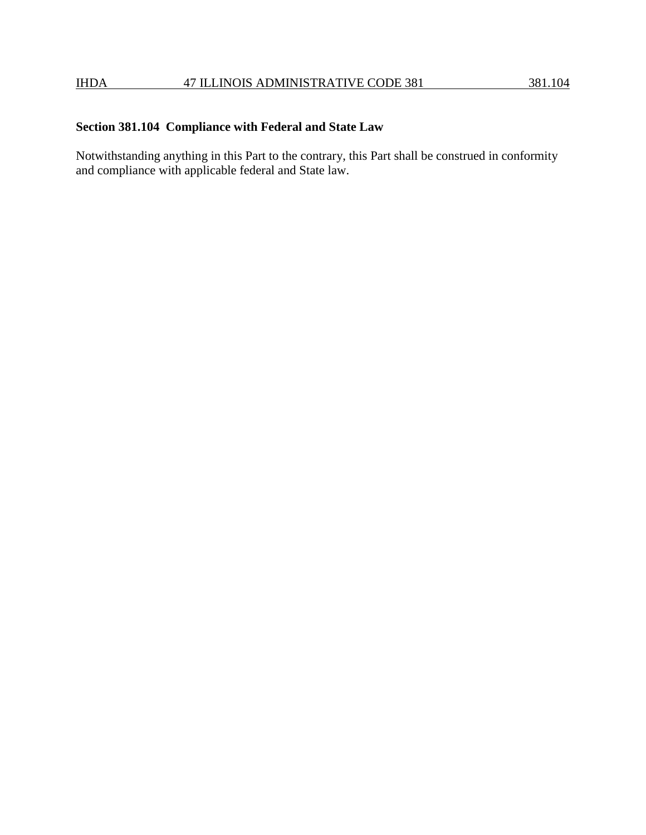# **Section 381.104 Compliance with Federal and State Law**

Notwithstanding anything in this Part to the contrary, this Part shall be construed in conformity and compliance with applicable federal and State law.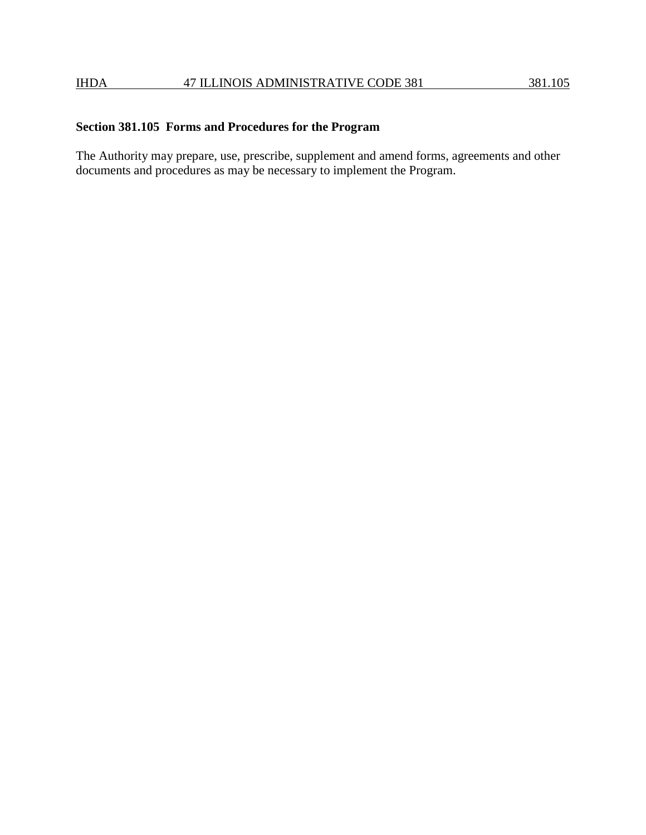# **Section 381.105 Forms and Procedures for the Program**

The Authority may prepare, use, prescribe, supplement and amend forms, agreements and other documents and procedures as may be necessary to implement the Program.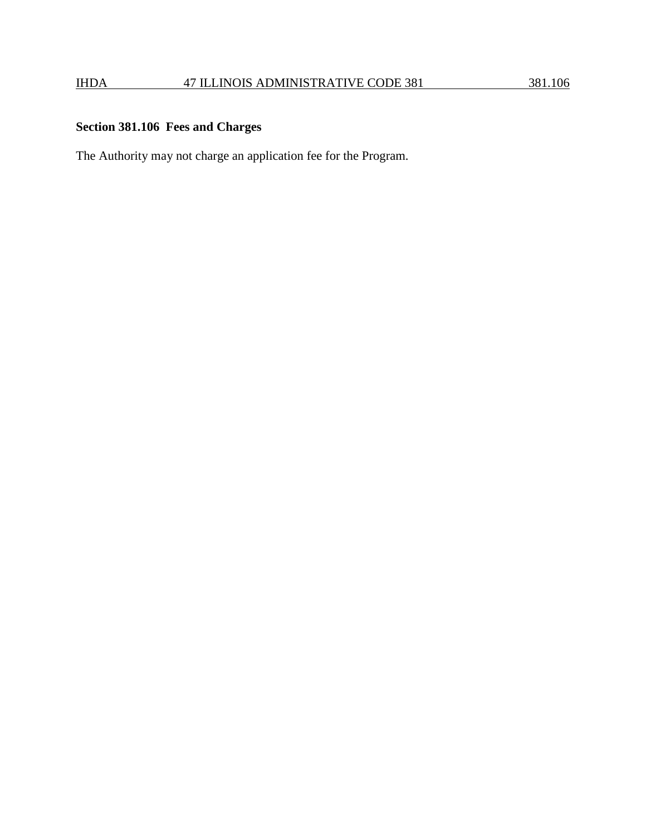# **Section 381.106 Fees and Charges**

The Authority may not charge an application fee for the Program.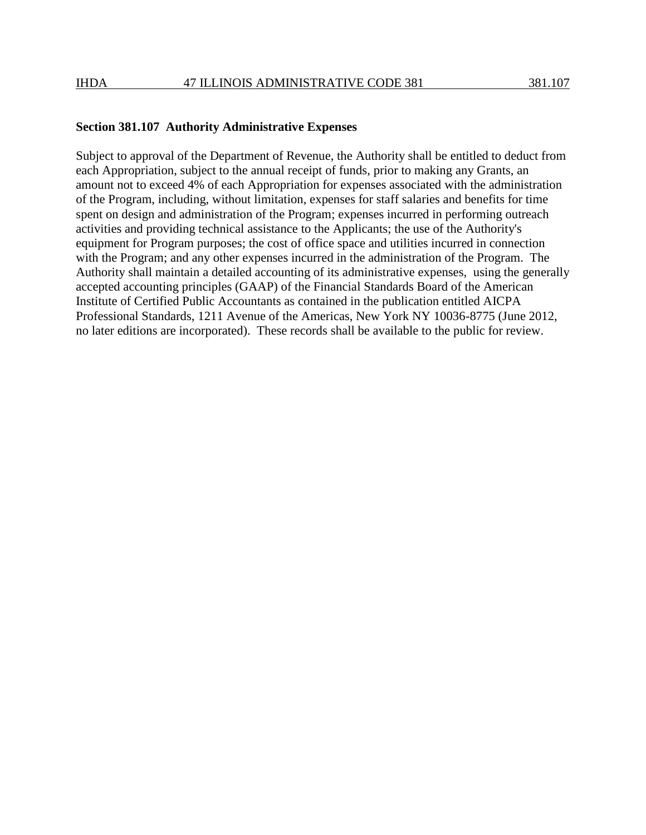### **Section 381.107 Authority Administrative Expenses**

Subject to approval of the Department of Revenue, the Authority shall be entitled to deduct from each Appropriation, subject to the annual receipt of funds, prior to making any Grants, an amount not to exceed 4% of each Appropriation for expenses associated with the administration of the Program, including, without limitation, expenses for staff salaries and benefits for time spent on design and administration of the Program; expenses incurred in performing outreach activities and providing technical assistance to the Applicants; the use of the Authority's equipment for Program purposes; the cost of office space and utilities incurred in connection with the Program; and any other expenses incurred in the administration of the Program. The Authority shall maintain a detailed accounting of its administrative expenses, using the generally accepted accounting principles (GAAP) of the Financial Standards Board of the American Institute of Certified Public Accountants as contained in the publication entitled AICPA Professional Standards, 1211 Avenue of the Americas, New York NY 10036-8775 (June 2012, no later editions are incorporated). These records shall be available to the public for review.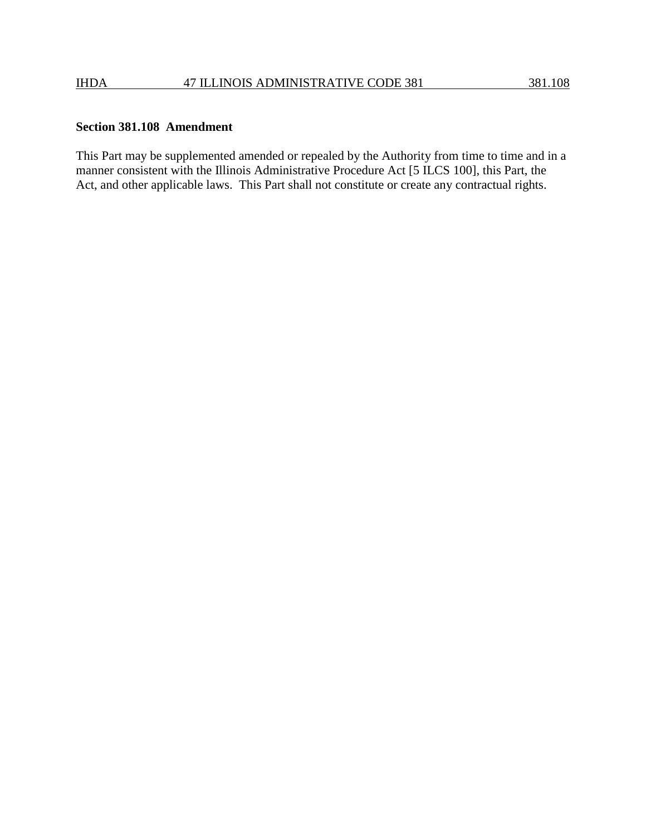### **Section 381.108 Amendment**

This Part may be supplemented amended or repealed by the Authority from time to time and in a manner consistent with the Illinois Administrative Procedure Act [5 ILCS 100], this Part, the Act, and other applicable laws. This Part shall not constitute or create any contractual rights.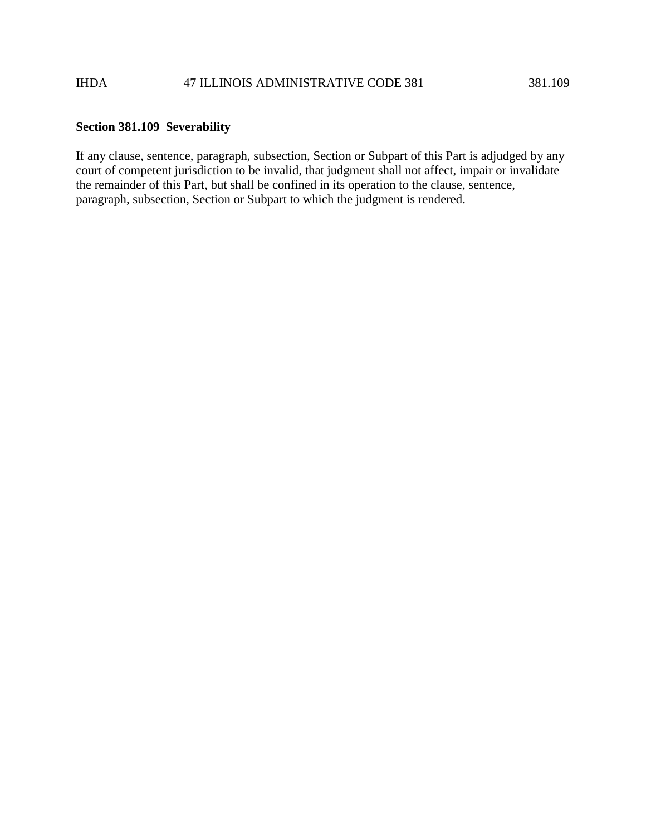### **Section 381.109 Severability**

If any clause, sentence, paragraph, subsection, Section or Subpart of this Part is adjudged by any court of competent jurisdiction to be invalid, that judgment shall not affect, impair or invalidate the remainder of this Part, but shall be confined in its operation to the clause, sentence, paragraph, subsection, Section or Subpart to which the judgment is rendered.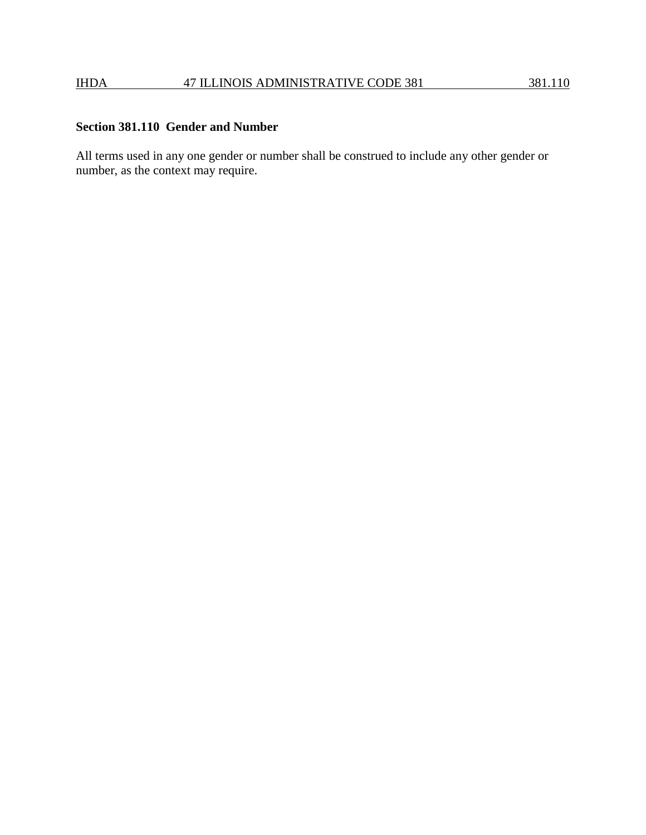### IHDA 47 ILLINOIS ADMINISTRATIVE CODE 381 381.110

## **Section 381.110 Gender and Number**

All terms used in any one gender or number shall be construed to include any other gender or number, as the context may require.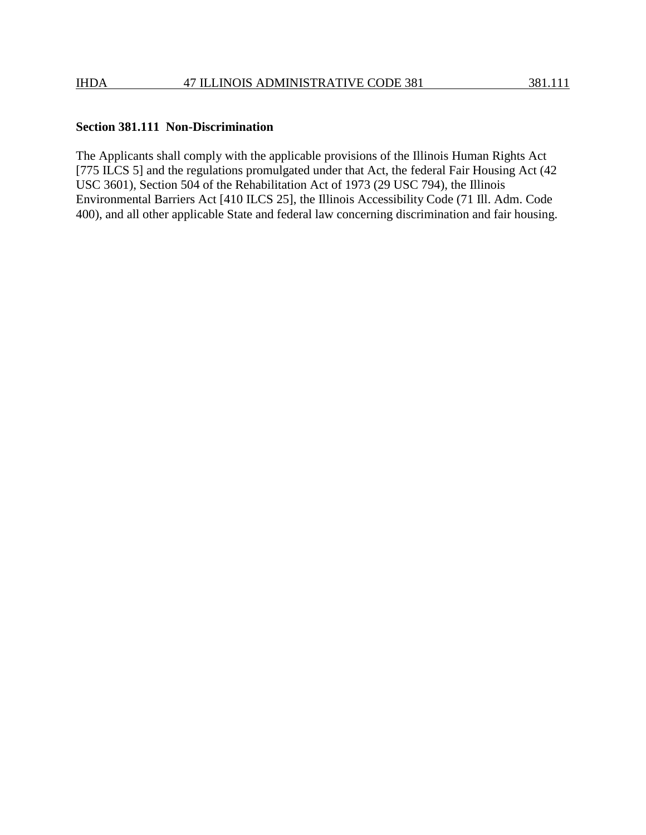### **Section 381.111 Non-Discrimination**

The Applicants shall comply with the applicable provisions of the Illinois Human Rights Act [775 ILCS 5] and the regulations promulgated under that Act, the federal Fair Housing Act (42) USC 3601), Section 504 of the Rehabilitation Act of 1973 (29 USC 794), the Illinois Environmental Barriers Act [410 ILCS 25], the Illinois Accessibility Code (71 Ill. Adm. Code 400), and all other applicable State and federal law concerning discrimination and fair housing.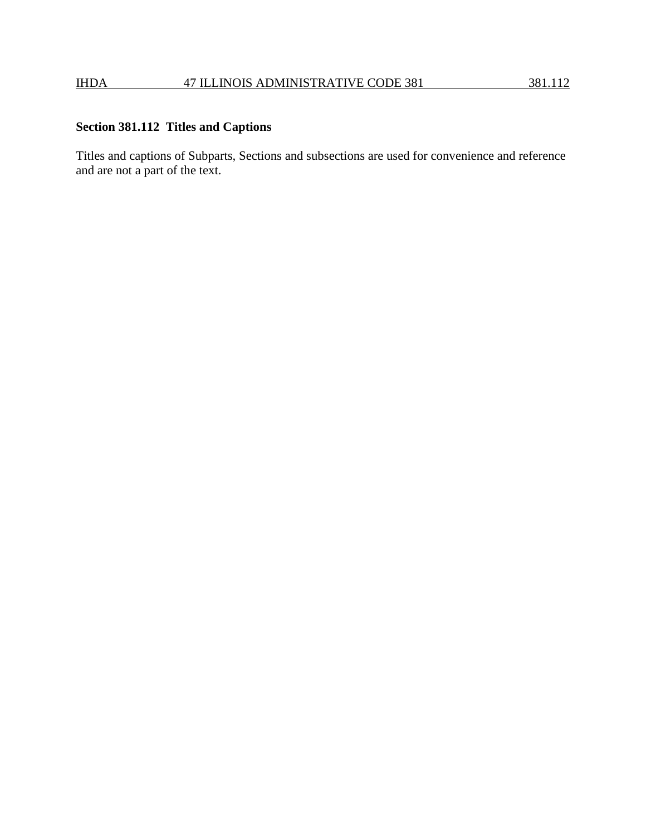# **Section 381.112 Titles and Captions**

Titles and captions of Subparts, Sections and subsections are used for convenience and reference and are not a part of the text.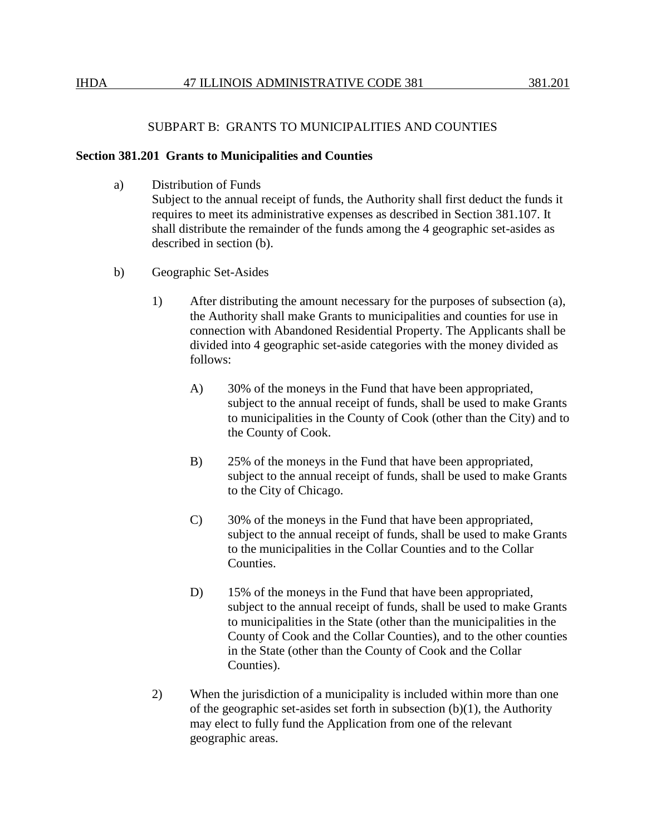### SUBPART B: GRANTS TO MUNICIPALITIES AND COUNTIES

#### **Section 381.201 Grants to Municipalities and Counties**

a) Distribution of Funds

Subject to the annual receipt of funds, the Authority shall first deduct the funds it requires to meet its administrative expenses as described in Section 381.107. It shall distribute the remainder of the funds among the 4 geographic set-asides as described in section (b).

- b) Geographic Set-Asides
	- 1) After distributing the amount necessary for the purposes of subsection (a), the Authority shall make Grants to municipalities and counties for use in connection with Abandoned Residential Property. The Applicants shall be divided into 4 geographic set-aside categories with the money divided as follows:
		- A) 30% of the moneys in the Fund that have been appropriated, subject to the annual receipt of funds, shall be used to make Grants to municipalities in the County of Cook (other than the City) and to the County of Cook.
		- B) 25% of the moneys in the Fund that have been appropriated, subject to the annual receipt of funds, shall be used to make Grants to the City of Chicago.
		- C) 30% of the moneys in the Fund that have been appropriated, subject to the annual receipt of funds, shall be used to make Grants to the municipalities in the Collar Counties and to the Collar Counties.
		- D) 15% of the moneys in the Fund that have been appropriated, subject to the annual receipt of funds, shall be used to make Grants to municipalities in the State (other than the municipalities in the County of Cook and the Collar Counties), and to the other counties in the State (other than the County of Cook and the Collar Counties).
	- 2) When the jurisdiction of a municipality is included within more than one of the geographic set-asides set forth in subsection  $(b)(1)$ , the Authority may elect to fully fund the Application from one of the relevant geographic areas.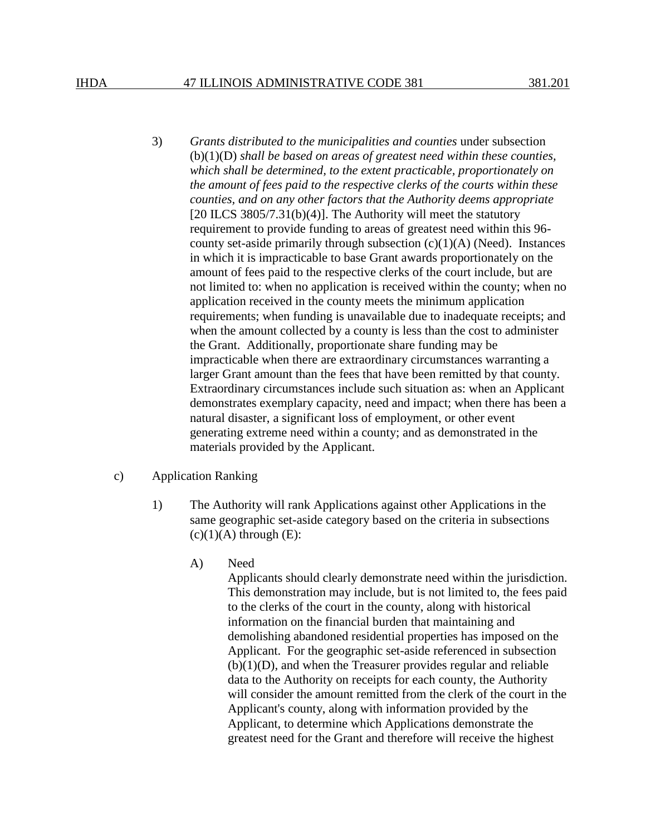- 3) *Grants distributed to the municipalities and counties* under subsection (b)(1)(D) *shall be based on areas of greatest need within these counties, which shall be determined, to the extent practicable, proportionately on the amount of fees paid to the respective clerks of the courts within these counties, and on any other factors that the Authority deems appropriate* [20 ILCS 3805/7.31(b)(4)]. The Authority will meet the statutory requirement to provide funding to areas of greatest need within this 96 county set-aside primarily through subsection  $(c)(1)(A)$  (Need). Instances in which it is impracticable to base Grant awards proportionately on the amount of fees paid to the respective clerks of the court include, but are not limited to: when no application is received within the county; when no application received in the county meets the minimum application requirements; when funding is unavailable due to inadequate receipts; and when the amount collected by a county is less than the cost to administer the Grant. Additionally, proportionate share funding may be impracticable when there are extraordinary circumstances warranting a larger Grant amount than the fees that have been remitted by that county. Extraordinary circumstances include such situation as: when an Applicant demonstrates exemplary capacity, need and impact; when there has been a natural disaster, a significant loss of employment, or other event generating extreme need within a county; and as demonstrated in the materials provided by the Applicant.
- c) Application Ranking
	- 1) The Authority will rank Applications against other Applications in the same geographic set-aside category based on the criteria in subsections  $(c)(1)(A)$  through  $(E)$ :
		- A) Need

Applicants should clearly demonstrate need within the jurisdiction. This demonstration may include, but is not limited to, the fees paid to the clerks of the court in the county, along with historical information on the financial burden that maintaining and demolishing abandoned residential properties has imposed on the Applicant. For the geographic set-aside referenced in subsection  $(b)(1)(D)$ , and when the Treasurer provides regular and reliable data to the Authority on receipts for each county, the Authority will consider the amount remitted from the clerk of the court in the Applicant's county, along with information provided by the Applicant, to determine which Applications demonstrate the greatest need for the Grant and therefore will receive the highest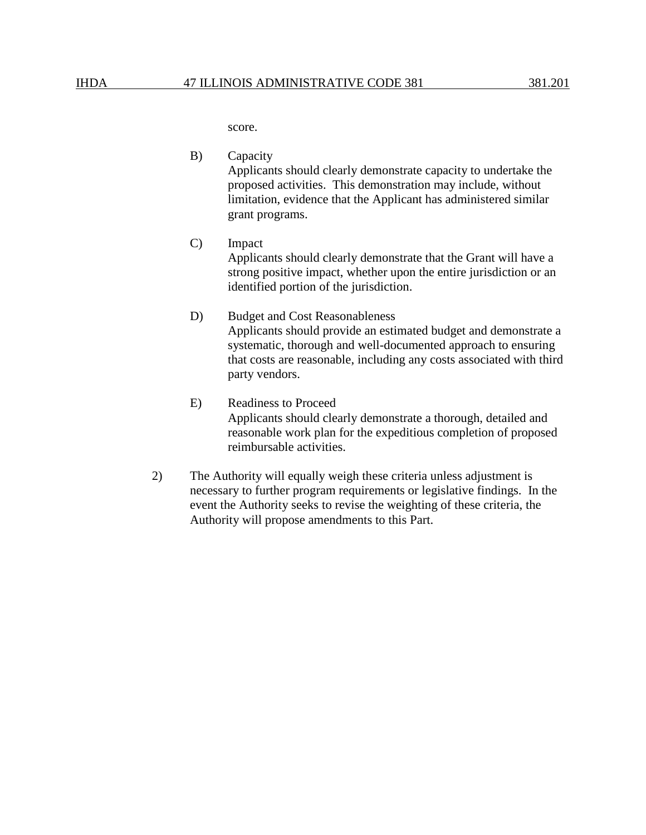score.

B) Capacity

Applicants should clearly demonstrate capacity to undertake the proposed activities. This demonstration may include, without limitation, evidence that the Applicant has administered similar grant programs.

- C) Impact Applicants should clearly demonstrate that the Grant will have a strong positive impact, whether upon the entire jurisdiction or an identified portion of the jurisdiction.
- D) Budget and Cost Reasonableness Applicants should provide an estimated budget and demonstrate a systematic, thorough and well-documented approach to ensuring that costs are reasonable, including any costs associated with third party vendors.
- E) Readiness to Proceed Applicants should clearly demonstrate a thorough, detailed and reasonable work plan for the expeditious completion of proposed reimbursable activities.
- 2) The Authority will equally weigh these criteria unless adjustment is necessary to further program requirements or legislative findings. In the event the Authority seeks to revise the weighting of these criteria, the Authority will propose amendments to this Part.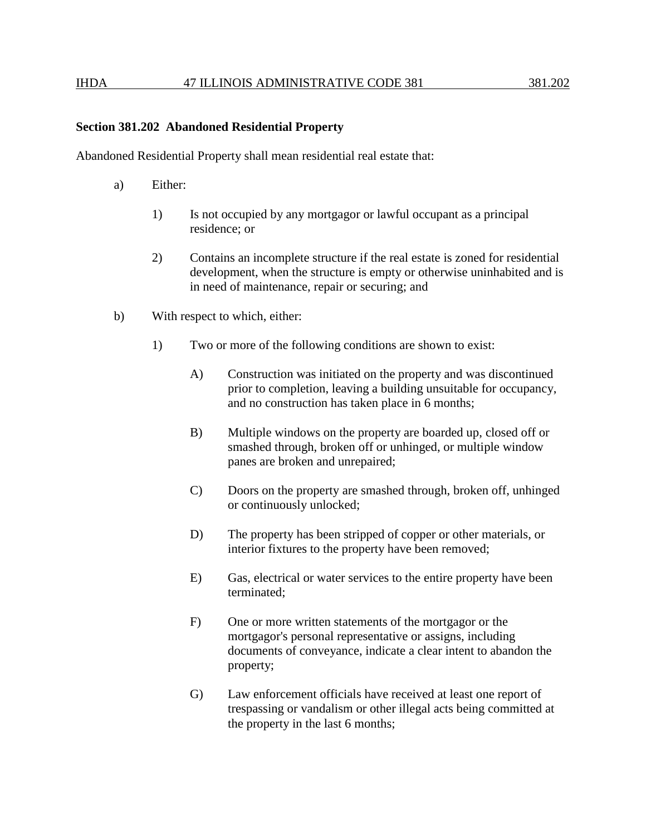#### **Section 381.202 Abandoned Residential Property**

Abandoned Residential Property shall mean residential real estate that:

- a) Either:
	- 1) Is not occupied by any mortgagor or lawful occupant as a principal residence; or
	- 2) Contains an incomplete structure if the real estate is zoned for residential development, when the structure is empty or otherwise uninhabited and is in need of maintenance, repair or securing; and
- b) With respect to which, either:
	- 1) Two or more of the following conditions are shown to exist:
		- A) Construction was initiated on the property and was discontinued prior to completion, leaving a building unsuitable for occupancy, and no construction has taken place in 6 months;
		- B) Multiple windows on the property are boarded up, closed off or smashed through, broken off or unhinged, or multiple window panes are broken and unrepaired;
		- C) Doors on the property are smashed through, broken off, unhinged or continuously unlocked;
		- D) The property has been stripped of copper or other materials, or interior fixtures to the property have been removed;
		- E) Gas, electrical or water services to the entire property have been terminated;
		- F) One or more written statements of the mortgagor or the mortgagor's personal representative or assigns, including documents of conveyance, indicate a clear intent to abandon the property;
		- G) Law enforcement officials have received at least one report of trespassing or vandalism or other illegal acts being committed at the property in the last 6 months;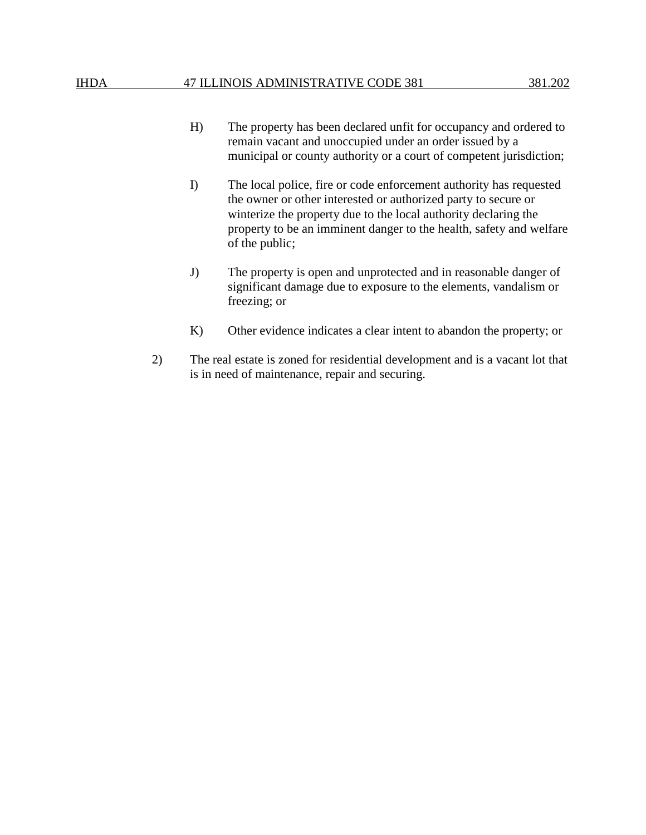- H) The property has been declared unfit for occupancy and ordered to remain vacant and unoccupied under an order issued by a municipal or county authority or a court of competent jurisdiction;
- I) The local police, fire or code enforcement authority has requested the owner or other interested or authorized party to secure or winterize the property due to the local authority declaring the property to be an imminent danger to the health, safety and welfare of the public;
- J) The property is open and unprotected and in reasonable danger of significant damage due to exposure to the elements, vandalism or freezing; or
- K) Other evidence indicates a clear intent to abandon the property; or
- 2) The real estate is zoned for residential development and is a vacant lot that is in need of maintenance, repair and securing.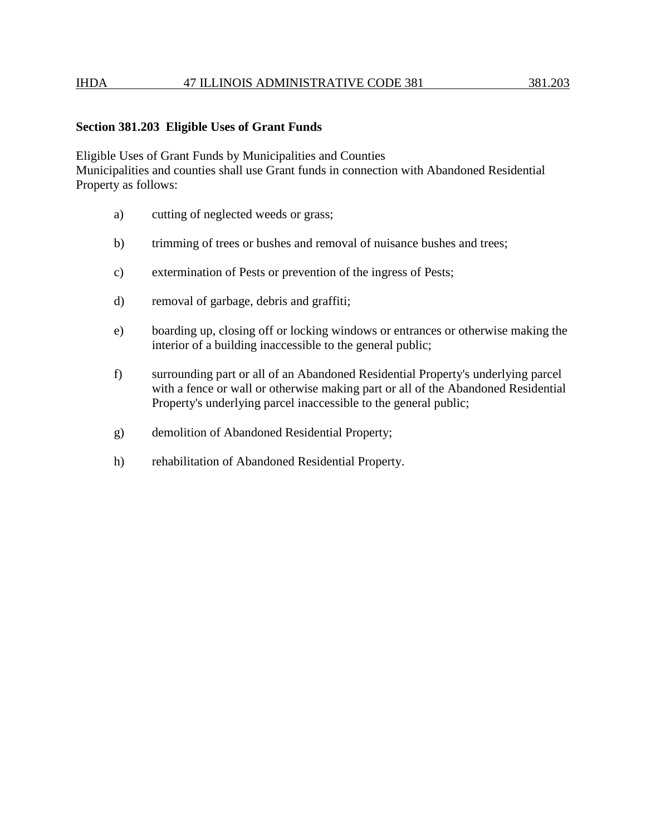### **Section 381.203 Eligible Uses of Grant Funds**

Eligible Uses of Grant Funds by Municipalities and Counties

Municipalities and counties shall use Grant funds in connection with Abandoned Residential Property as follows:

- a) cutting of neglected weeds or grass;
- b) trimming of trees or bushes and removal of nuisance bushes and trees;
- c) extermination of Pests or prevention of the ingress of Pests;
- d) removal of garbage, debris and graffiti;
- e) boarding up, closing off or locking windows or entrances or otherwise making the interior of a building inaccessible to the general public;
- f) surrounding part or all of an Abandoned Residential Property's underlying parcel with a fence or wall or otherwise making part or all of the Abandoned Residential Property's underlying parcel inaccessible to the general public;
- g) demolition of Abandoned Residential Property;
- h) rehabilitation of Abandoned Residential Property.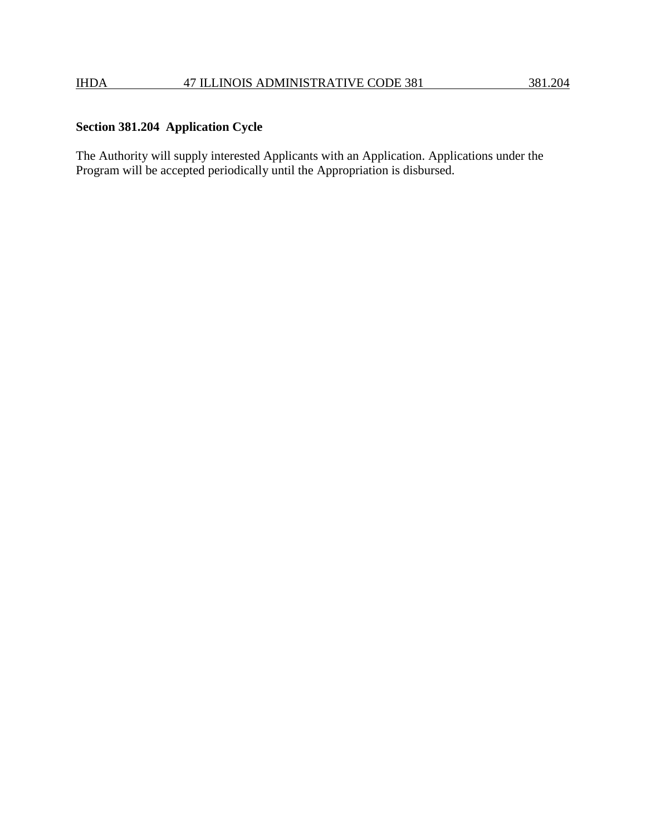# **Section 381.204 Application Cycle**

The Authority will supply interested Applicants with an Application. Applications under the Program will be accepted periodically until the Appropriation is disbursed.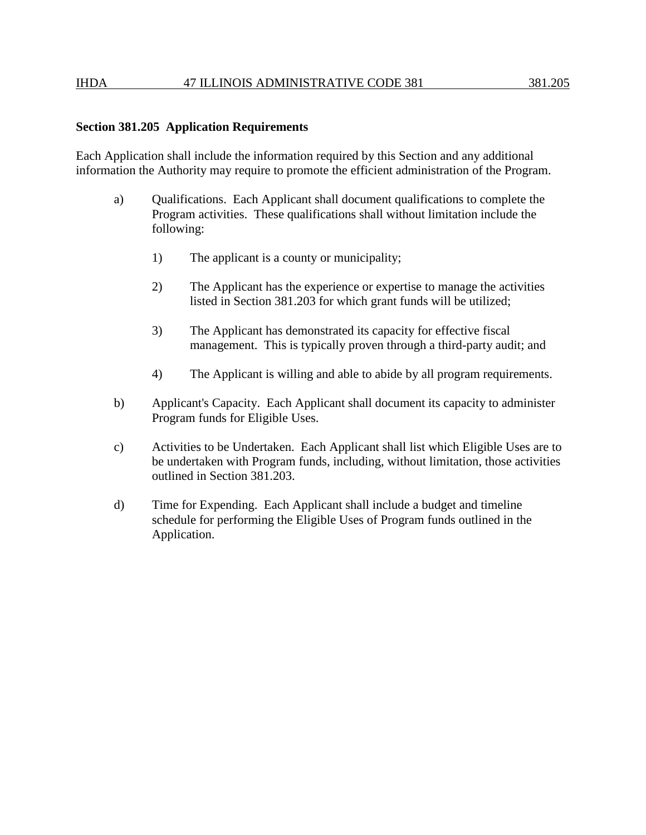#### IHDA 47 ILLINOIS ADMINISTRATIVE CODE 381 381.205

### **Section 381.205 Application Requirements**

Each Application shall include the information required by this Section and any additional information the Authority may require to promote the efficient administration of the Program.

- a) Qualifications. Each Applicant shall document qualifications to complete the Program activities. These qualifications shall without limitation include the following:
	- 1) The applicant is a county or municipality;
	- 2) The Applicant has the experience or expertise to manage the activities listed in Section 381.203 for which grant funds will be utilized;
	- 3) The Applicant has demonstrated its capacity for effective fiscal management. This is typically proven through a third-party audit; and
	- 4) The Applicant is willing and able to abide by all program requirements.
- b) Applicant's Capacity. Each Applicant shall document its capacity to administer Program funds for Eligible Uses.
- c) Activities to be Undertaken. Each Applicant shall list which Eligible Uses are to be undertaken with Program funds, including, without limitation, those activities outlined in Section 381.203.
- d) Time for Expending. Each Applicant shall include a budget and timeline schedule for performing the Eligible Uses of Program funds outlined in the Application.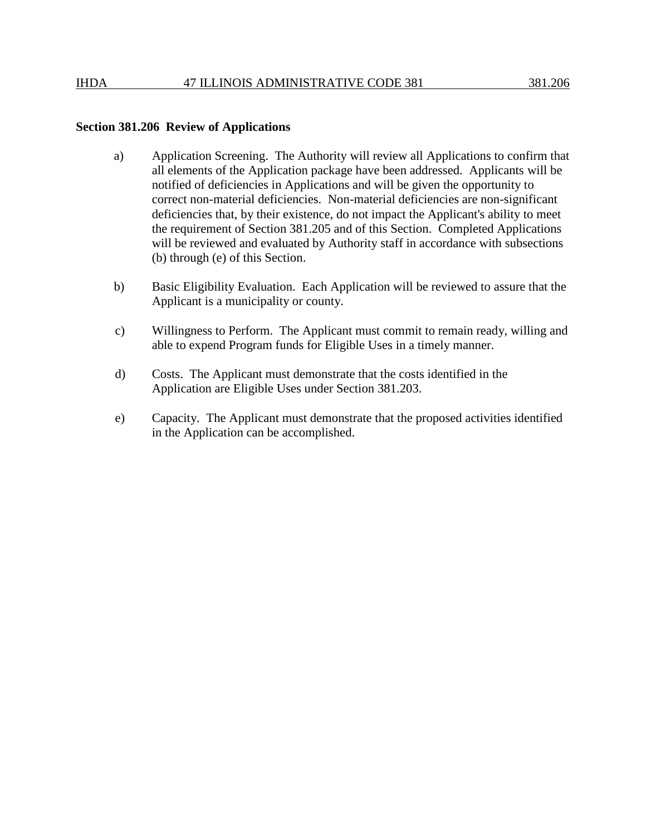#### **Section 381.206 Review of Applications**

- a) Application Screening. The Authority will review all Applications to confirm that all elements of the Application package have been addressed. Applicants will be notified of deficiencies in Applications and will be given the opportunity to correct non-material deficiencies. Non-material deficiencies are non-significant deficiencies that, by their existence, do not impact the Applicant's ability to meet the requirement of Section 381.205 and of this Section. Completed Applications will be reviewed and evaluated by Authority staff in accordance with subsections (b) through (e) of this Section.
- b) Basic Eligibility Evaluation. Each Application will be reviewed to assure that the Applicant is a municipality or county.
- c) Willingness to Perform. The Applicant must commit to remain ready, willing and able to expend Program funds for Eligible Uses in a timely manner.
- d) Costs. The Applicant must demonstrate that the costs identified in the Application are Eligible Uses under Section 381.203.
- e) Capacity. The Applicant must demonstrate that the proposed activities identified in the Application can be accomplished.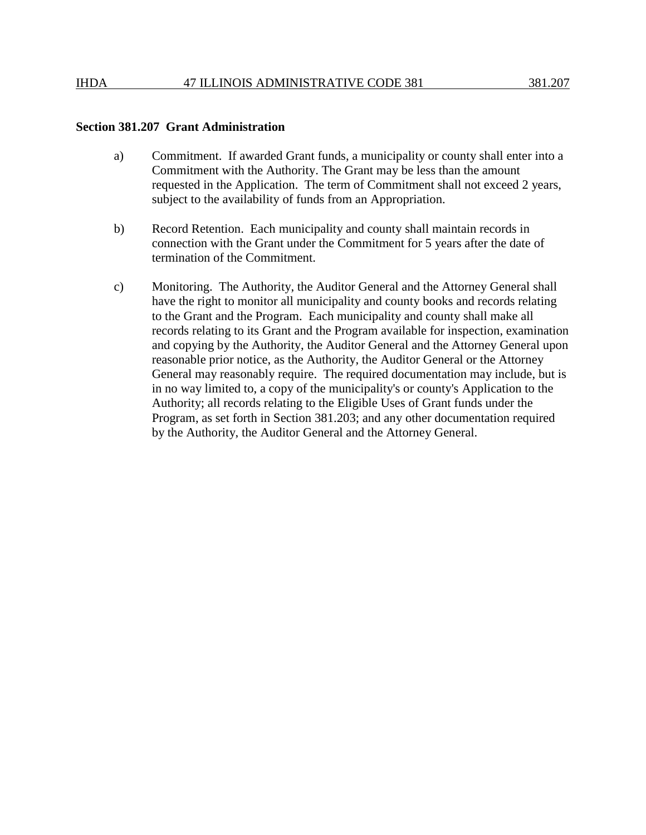#### **Section 381.207 Grant Administration**

- a) Commitment. If awarded Grant funds, a municipality or county shall enter into a Commitment with the Authority. The Grant may be less than the amount requested in the Application. The term of Commitment shall not exceed 2 years, subject to the availability of funds from an Appropriation.
- b) Record Retention. Each municipality and county shall maintain records in connection with the Grant under the Commitment for 5 years after the date of termination of the Commitment.
- c) Monitoring. The Authority, the Auditor General and the Attorney General shall have the right to monitor all municipality and county books and records relating to the Grant and the Program. Each municipality and county shall make all records relating to its Grant and the Program available for inspection, examination and copying by the Authority, the Auditor General and the Attorney General upon reasonable prior notice, as the Authority, the Auditor General or the Attorney General may reasonably require. The required documentation may include, but is in no way limited to, a copy of the municipality's or county's Application to the Authority; all records relating to the Eligible Uses of Grant funds under the Program, as set forth in Section 381.203; and any other documentation required by the Authority, the Auditor General and the Attorney General.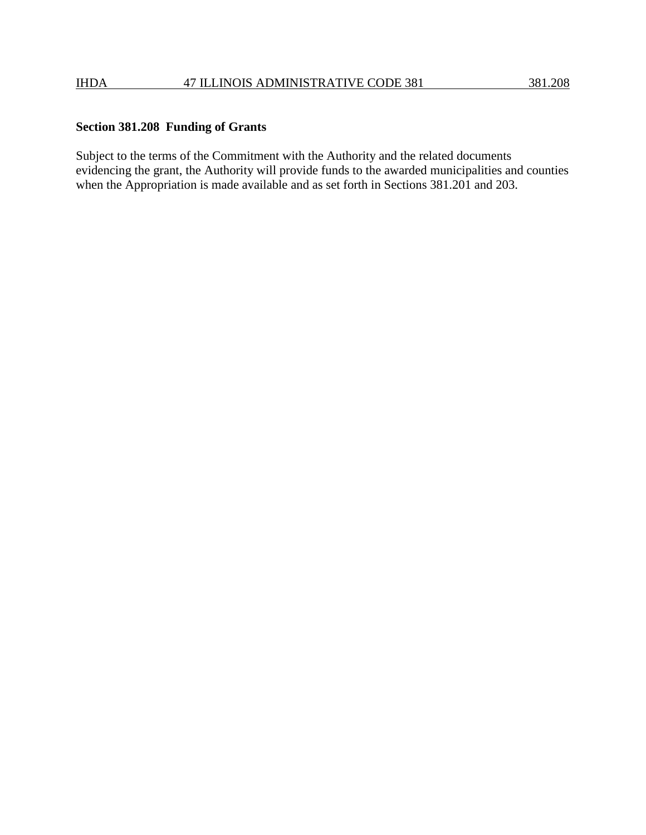### **Section 381.208 Funding of Grants**

Subject to the terms of the Commitment with the Authority and the related documents evidencing the grant, the Authority will provide funds to the awarded municipalities and counties when the Appropriation is made available and as set forth in Sections 381.201 and 203.